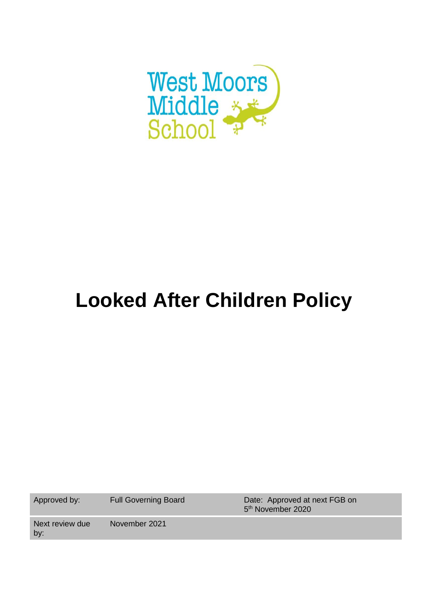

# **Looked After Children Policy**

Approved by: Full Governing Board Date: Approved at next FGB on 5<sup>th</sup> November 2020

Next review due by: November 2021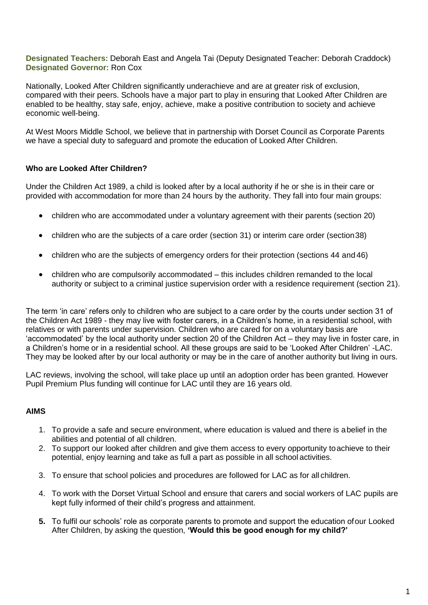**Designated Teachers:** Deborah East and Angela Tai (Deputy Designated Teacher: Deborah Craddock) **Designated Governor:** Ron Cox

Nationally, Looked After Children significantly underachieve and are at greater risk of exclusion, compared with their peers. Schools have a major part to play in ensuring that Looked After Children are enabled to be healthy, stay safe, enjoy, achieve, make a positive contribution to society and achieve economic well-being.

At West Moors Middle School, we believe that in partnership with Dorset Council as Corporate Parents we have a special duty to safeguard and promote the education of Looked After Children.

#### **Who are Looked After Children?**

Under the Children Act 1989, a child is looked after by a local authority if he or she is in their care or provided with accommodation for more than 24 hours by the authority. They fall into four main groups:

- children who are accommodated under a voluntary agreement with their parents (section 20)
- children who are the subjects of a care order (section 31) or interim care order (section38)
- children who are the subjects of emergency orders for their protection (sections 44 and 46)
- children who are compulsorily accommodated this includes children remanded to the local authority or subject to a criminal justice supervision order with a residence requirement (section 21).

The term 'in care' refers only to children who are subject to a care order by the courts under section 31 of the Children Act 1989 - they may live with foster carers, in a Children's home, in a residential school, with relatives or with parents under supervision. Children who are cared for on a voluntary basis are 'accommodated' by the local authority under section 20 of the Children Act – they may live in foster care, in a Children's home or in a residential school. All these groups are said to be 'Looked After Children' -LAC. They may be looked after by our local authority or may be in the care of another authority but living in ours.

LAC reviews, involving the school, will take place up until an adoption order has been granted. However Pupil Premium Plus funding will continue for LAC until they are 16 years old.

## **AIMS**

- 1. To provide a safe and secure environment, where education is valued and there is abelief in the abilities and potential of all children.
- 2. To support our looked after children and give them access to every opportunity toachieve to their potential, enjoy learning and take as full a part as possible in all school activities.
- 3. To ensure that school policies and procedures are followed for LAC as for all children.
- 4. To work with the Dorset Virtual School and ensure that carers and social workers of LAC pupils are kept fully informed of their child's progress and attainment.
- **5.** To fulfil our schools' role as corporate parents to promote and support the education ofour Looked After Children, by asking the question, **'Would this be good enough for my child?'**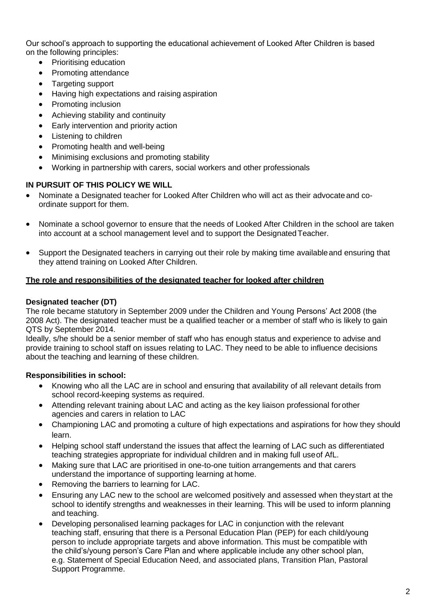Our school's approach to supporting the educational achievement of Looked After Children is based on the following principles:

- Prioritising education
- Promoting attendance
- Targeting support
- Having high expectations and raising aspiration
- Promoting inclusion
- Achieving stability and continuity
- Early intervention and priority action
- Listening to children
- Promoting health and well-being
- Minimising exclusions and promoting stability
- Working in partnership with carers, social workers and other professionals

## **IN PURSUIT OF THIS POLICY WE WILL**

- Nominate a Designated teacher for Looked After Children who will act as their advocateand coordinate support for them.
- Nominate a school governor to ensure that the needs of Looked After Children in the school are taken into account at a school management level and to support the DesignatedTeacher.
- Support the Designated teachers in carrying out their role by making time availableand ensuring that they attend training on Looked After Children.

#### **The role and responsibilities of the designated teacher for looked after children**

#### **Designated teacher (DT)**

The role became statutory in September 2009 under the Children and Young Persons' Act 2008 (the 2008 Act). The designated teacher must be a qualified teacher or a member of staff who is likely to gain QTS by September 2014.

Ideally, s/he should be a senior member of staff who has enough status and experience to advise and provide training to school staff on issues relating to LAC. They need to be able to influence decisions about the teaching and learning of these children.

## **Responsibilities in school:**

- Knowing who all the LAC are in school and ensuring that availability of all relevant details from school record-keeping systems as required.
- Attending relevant training about LAC and acting as the key liaison professional forother agencies and carers in relation to LAC
- Championing LAC and promoting a culture of high expectations and aspirations for how they should learn.
- Helping school staff understand the issues that affect the learning of LAC such as differentiated teaching strategies appropriate for individual children and in making full useof AfL.
- Making sure that LAC are prioritised in one-to-one tuition arrangements and that carers understand the importance of supporting learning at home.
- Removing the barriers to learning for LAC.
- Ensuring any LAC new to the school are welcomed positively and assessed when theystart at the school to identify strengths and weaknesses in their learning. This will be used to inform planning and teaching.
- Developing personalised learning packages for LAC in conjunction with the relevant teaching staff, ensuring that there is a Personal Education Plan (PEP) for each child/young person to include appropriate targets and above information. This must be compatible with the child's/young person's Care Plan and where applicable include any other school plan, e.g. Statement of Special Education Need, and associated plans, Transition Plan, Pastoral Support Programme.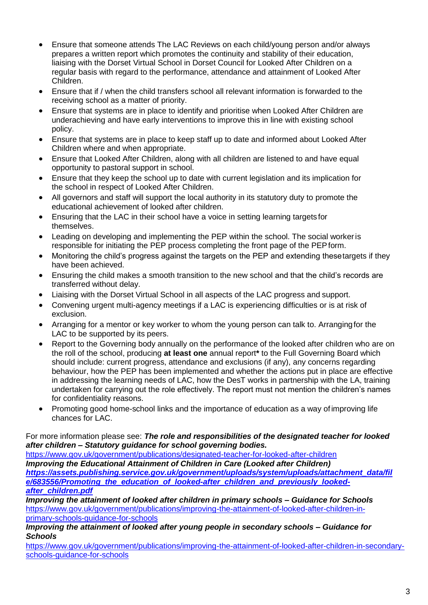- Ensure that someone attends The LAC Reviews on each child/young person and/or always prepares a written report which promotes the continuity and stability of their education, liaising with the Dorset Virtual School in Dorset Council for Looked After Children on a regular basis with regard to the performance, attendance and attainment of Looked After Children.
- Ensure that if / when the child transfers school all relevant information is forwarded to the receiving school as a matter of priority.
- Ensure that systems are in place to identify and prioritise when Looked After Children are underachieving and have early interventions to improve this in line with existing school policy.
- Ensure that systems are in place to keep staff up to date and informed about Looked After Children where and when appropriate.
- Ensure that Looked After Children, along with all children are listened to and have equal opportunity to pastoral support in school.
- Ensure that they keep the school up to date with current legislation and its implication for the school in respect of Looked After Children.
- All governors and staff will support the local authority in its statutory duty to promote the educational achievement of looked after children.
- Ensuring that the LAC in their school have a voice in setting learning targets for themselves.
- Leading on developing and implementing the PEP within the school. The social workeris responsible for initiating the PEP process completing the front page of the PEPform.
- Monitoring the child's progress against the targets on the PEP and extending thesetargets if they have been achieved.
- Ensuring the child makes a smooth transition to the new school and that the child's records are transferred without delay.
- Liaising with the Dorset Virtual School in all aspects of the LAC progress and support.
- Convening urgent multi-agency meetings if a LAC is experiencing difficulties or is at risk of exclusion.
- Arranging for a mentor or key worker to whom the young person can talk to. Arrangingfor the LAC to be supported by its peers.
- Report to the Governing body annually on the performance of the looked after children who are on the roll of the school, producing **at least one** annual report**\*** to the Full Governing Board which should include: current progress, attendance and exclusions (if any), any concerns regarding behaviour, how the PEP has been implemented and whether the actions put in place are effective in addressing the learning needs of LAC, how the DesT works in partnership with the LA, training undertaken for carrying out the role effectively. The report must not mention the children's names for confidentiality reasons.
- Promoting good home-school links and the importance of education as a way ofimproving life chances for LAC.

## For more information please see: *The role and responsibilities of the designated teacher for looked after children – Statutory guidance for school governing bodies.*

<https://www.gov.uk/government/publications/designated-teacher-for-looked-after-children> *Improving the Educational Attainment of Children in Care (Looked after Children) [https://assets.publishing.service.gov.uk/government/uploads/system/uploads/attachment\\_data/fil](https://assets.publishing.service.gov.uk/government/uploads/system/uploads/attachment_data/file/683556/Promoting_the_education_of_looked-after_children_and_previously_looked-after_children.pdf) [e/683556/Promoting\\_the\\_education\\_of\\_looked-after\\_children\\_and\\_previously\\_looked](https://assets.publishing.service.gov.uk/government/uploads/system/uploads/attachment_data/file/683556/Promoting_the_education_of_looked-after_children_and_previously_looked-after_children.pdf)[after\\_children.pdf](https://assets.publishing.service.gov.uk/government/uploads/system/uploads/attachment_data/file/683556/Promoting_the_education_of_looked-after_children_and_previously_looked-after_children.pdf)*

*Improving the attainment of looked after children in primary schools – Guidance for Schools* [https://www.gov.uk/government/publications/improving-the-attainment-of-looked-after-children-in](https://www.gov.uk/government/publications/improving-the-attainment-of-looked-after-children-in-primary-schools-guidance-for-schools)[primary-schools-guidance-for-schools](https://www.gov.uk/government/publications/improving-the-attainment-of-looked-after-children-in-primary-schools-guidance-for-schools)

#### *Improving the attainment of looked after young people in secondary schools – Guidance for Schools*

[https://www.gov.uk/government/publications/improving-the-attainment-of-looked-after-children-in-secondary](https://www.gov.uk/government/publications/improving-the-attainment-of-looked-after-children-in-secondary-schools-guidance-for-schools)schools-quidance-for-schools